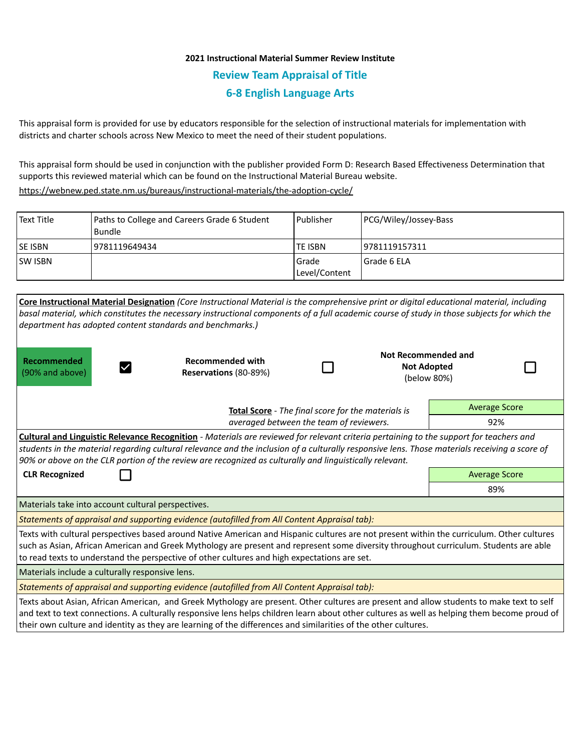# **2021 Instructional Material Summer Review Institute Review Team Appraisal of Title 6-8 English Language Arts**

This appraisal form is provided for use by educators responsible for the selection of instructional materials for implementation with districts and charter schools across New Mexico to meet the need of their student populations.

This appraisal form should be used in conjunction with the publisher provided Form D: Research Based Effectiveness Determination that supports this reviewed material which can be found on the Instructional Material Bureau website.

<https://webnew.ped.state.nm.us/bureaus/instructional-materials/the-adoption-cycle/>

| Text Title     | Paths to College and Careers Grade 6 Student<br>Bundle | Publisher                | PCG/Wiley/Jossey-Bass |
|----------------|--------------------------------------------------------|--------------------------|-----------------------|
| <b>SE ISBN</b> | 9781119649434                                          | <b>TE ISBN</b>           | 19781119157311        |
| <b>SW ISBN</b> |                                                        | l Grade<br>Level/Content | l Grade 6 ELA         |

| Core Instructional Material Designation (Core Instructional Material is the comprehensive print or digital educational material, including<br>basal material, which constitutes the necessary instructional components of a full academic course of study in those subjects for which the<br>department has adopted content standards and benchmarks.)                                                     |                                                  |  |                                                                 |                      |  |  |  |  |
|------------------------------------------------------------------------------------------------------------------------------------------------------------------------------------------------------------------------------------------------------------------------------------------------------------------------------------------------------------------------------------------------------------|--------------------------------------------------|--|-----------------------------------------------------------------|----------------------|--|--|--|--|
| Recommended<br>(90% and above)                                                                                                                                                                                                                                                                                                                                                                             | <b>Recommended with</b><br>Reservations (80-89%) |  | <b>Not Recommended and</b><br><b>Not Adopted</b><br>(below 80%) |                      |  |  |  |  |
| <b>Total Score</b> - The final score for the materials is<br>averaged between the team of reviewers.                                                                                                                                                                                                                                                                                                       |                                                  |  |                                                                 | <b>Average Score</b> |  |  |  |  |
|                                                                                                                                                                                                                                                                                                                                                                                                            |                                                  |  |                                                                 | 92%                  |  |  |  |  |
| <b>Cultural and Linguistic Relevance Recognition</b> - Materials are reviewed for relevant criteria pertaining to the support for teachers and<br>students in the material regarding cultural relevance and the inclusion of a culturally responsive lens. Those materials receiving a score of<br>90% or above on the CLR portion of the review are recognized as culturally and linguistically relevant. |                                                  |  |                                                                 |                      |  |  |  |  |
| <b>CLR Recognized</b>                                                                                                                                                                                                                                                                                                                                                                                      | <b>Average Score</b>                             |  |                                                                 |                      |  |  |  |  |
|                                                                                                                                                                                                                                                                                                                                                                                                            | 89%                                              |  |                                                                 |                      |  |  |  |  |
| Materials take into account cultural perspectives.                                                                                                                                                                                                                                                                                                                                                         |                                                  |  |                                                                 |                      |  |  |  |  |
| Statements of appraisal and supporting evidence (autofilled from All Content Appraisal tab):                                                                                                                                                                                                                                                                                                               |                                                  |  |                                                                 |                      |  |  |  |  |
| Texts with cultural perspectives based around Native American and Hispanic cultures are not present within the curriculum. Other cultures<br>such as Asian, African American and Greek Mythology are present and represent some diversity throughout curriculum. Students are able<br>to read texts to understand the perspective of other cultures and high expectations are set.                         |                                                  |  |                                                                 |                      |  |  |  |  |
| Materials include a culturally responsive lens.                                                                                                                                                                                                                                                                                                                                                            |                                                  |  |                                                                 |                      |  |  |  |  |
| Statements of appraisal and supporting evidence (autofilled from All Content Appraisal tab):                                                                                                                                                                                                                                                                                                               |                                                  |  |                                                                 |                      |  |  |  |  |
| Texts about Asian, African American, and Greek Mythology are present. Other cultures are present and allow students to make text to self<br>and text to text connections. A culturally responsive lens helps children learn about other cultures as well as helping them become proud of<br>their own culture and identity as they are learning of the differences and similarities of the other cultures. |                                                  |  |                                                                 |                      |  |  |  |  |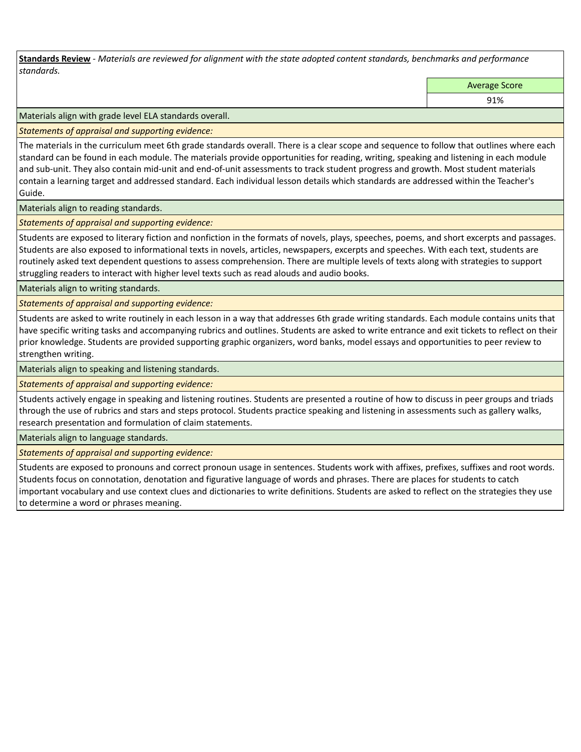**Standards Review** *- Materials are reviewed for alignment with the state adopted content standards, benchmarks and performance standards.*

Average Score

91%

Materials align with grade level ELA standards overall.

*Statements of appraisal and supporting evidence:* 

The materials in the curriculum meet 6th grade standards overall. There is a clear scope and sequence to follow that outlines where each standard can be found in each module. The materials provide opportunities for reading, writing, speaking and listening in each module and sub-unit. They also contain mid-unit and end-of-unit assessments to track student progress and growth. Most student materials contain a learning target and addressed standard. Each individual lesson details which standards are addressed within the Teacher's Guide.

Materials align to reading standards.

*Statements of appraisal and supporting evidence:* 

Students are exposed to literary fiction and nonfiction in the formats of novels, plays, speeches, poems, and short excerpts and passages. Students are also exposed to informational texts in novels, articles, newspapers, excerpts and speeches. With each text, students are routinely asked text dependent questions to assess comprehension. There are multiple levels of texts along with strategies to support struggling readers to interact with higher level texts such as read alouds and audio books.

Materials align to writing standards.

*Statements of appraisal and supporting evidence:* 

Students are asked to write routinely in each lesson in a way that addresses 6th grade writing standards. Each module contains units that have specific writing tasks and accompanying rubrics and outlines. Students are asked to write entrance and exit tickets to reflect on their prior knowledge. Students are provided supporting graphic organizers, word banks, model essays and opportunities to peer review to strengthen writing.

Materials align to speaking and listening standards.

*Statements of appraisal and supporting evidence:* 

Students actively engage in speaking and listening routines. Students are presented a routine of how to discuss in peer groups and triads through the use of rubrics and stars and steps protocol. Students practice speaking and listening in assessments such as gallery walks, research presentation and formulation of claim statements.

Materials align to language standards.

*Statements of appraisal and supporting evidence:* 

Students are exposed to pronouns and correct pronoun usage in sentences. Students work with affixes, prefixes, suffixes and root words. Students focus on connotation, denotation and figurative language of words and phrases. There are places for students to catch important vocabulary and use context clues and dictionaries to write definitions. Students are asked to reflect on the strategies they use to determine a word or phrases meaning.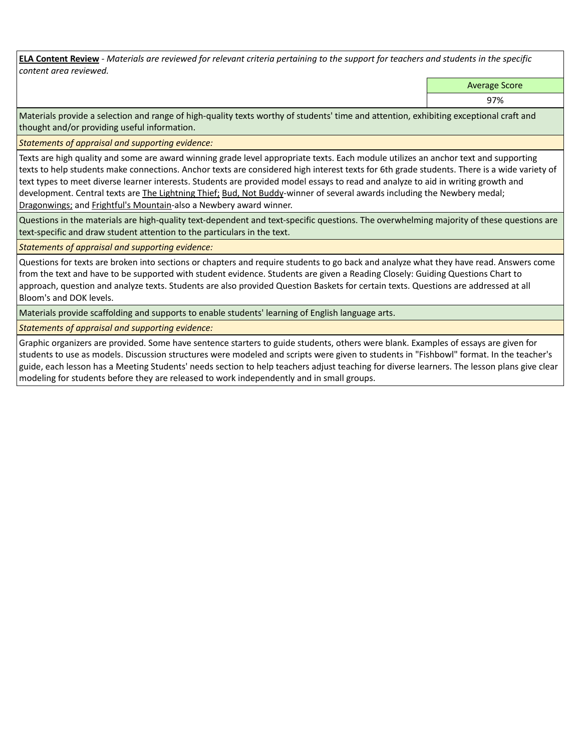**ELA Content Review** *- Materials are reviewed for relevant criteria pertaining to the support for teachers and students in the specific content area reviewed.*

Average Score

97%

Materials provide a selection and range of high-quality texts worthy of students' time and attention, exhibiting exceptional craft and thought and/or providing useful information.

*Statements of appraisal and supporting evidence:* 

Texts are high quality and some are award winning grade level appropriate texts. Each module utilizes an anchor text and supporting texts to help students make connections. Anchor texts are considered high interest texts for 6th grade students. There is a wide variety of text types to meet diverse learner interests. Students are provided model essays to read and analyze to aid in writing growth and development. Central texts are The Lightning Thief; Bud, Not Buddy-winner of several awards including the Newbery medal; Dragonwings; and Frightful's Mountain-also a Newbery award winner.

Questions in the materials are high-quality text-dependent and text-specific questions. The overwhelming majority of these questions are text-specific and draw student attention to the particulars in the text.

*Statements of appraisal and supporting evidence:* 

Questions for texts are broken into sections or chapters and require students to go back and analyze what they have read. Answers come from the text and have to be supported with student evidence. Students are given a Reading Closely: Guiding Questions Chart to approach, question and analyze texts. Students are also provided Question Baskets for certain texts. Questions are addressed at all Bloom's and DOK levels.

Materials provide scaffolding and supports to enable students' learning of English language arts.

*Statements of appraisal and supporting evidence:* 

Graphic organizers are provided. Some have sentence starters to guide students, others were blank. Examples of essays are given for students to use as models. Discussion structures were modeled and scripts were given to students in "Fishbowl" format. In the teacher's guide, each lesson has a Meeting Students' needs section to help teachers adjust teaching for diverse learners. The lesson plans give clear modeling for students before they are released to work independently and in small groups.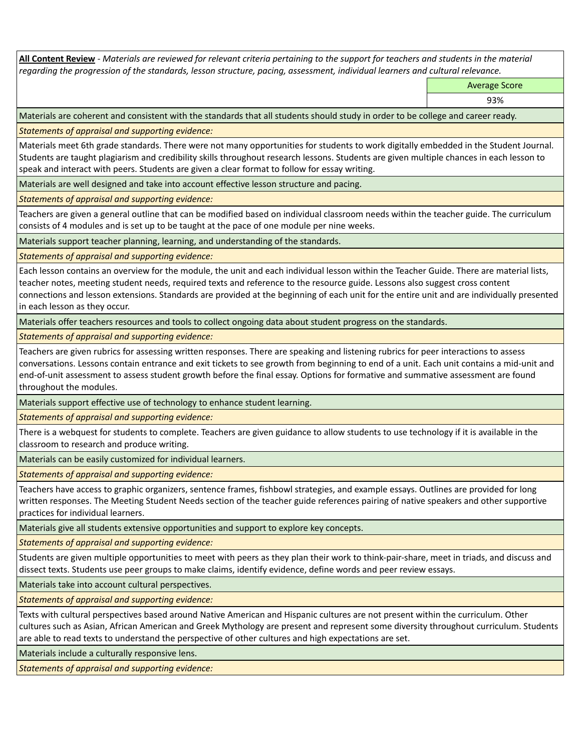**All Content Review** *- Materials are reviewed for relevant criteria pertaining to the support for teachers and students in the material regarding the progression of the standards, lesson structure, pacing, assessment, individual learners and cultural relevance.*

Average Score

93%

Materials are coherent and consistent with the standards that all students should study in order to be college and career ready.

*Statements of appraisal and supporting evidence:*

Materials meet 6th grade standards. There were not many opportunities for students to work digitally embedded in the Student Journal. Students are taught plagiarism and credibility skills throughout research lessons. Students are given multiple chances in each lesson to speak and interact with peers. Students are given a clear format to follow for essay writing.

Materials are well designed and take into account effective lesson structure and pacing.

*Statements of appraisal and supporting evidence:*

Teachers are given a general outline that can be modified based on individual classroom needs within the teacher guide. The curriculum consists of 4 modules and is set up to be taught at the pace of one module per nine weeks.

Materials support teacher planning, learning, and understanding of the standards.

*Statements of appraisal and supporting evidence:*

Each lesson contains an overview for the module, the unit and each individual lesson within the Teacher Guide. There are material lists, teacher notes, meeting student needs, required texts and reference to the resource guide. Lessons also suggest cross content connections and lesson extensions. Standards are provided at the beginning of each unit for the entire unit and are individually presented in each lesson as they occur.

Materials offer teachers resources and tools to collect ongoing data about student progress on the standards.

*Statements of appraisal and supporting evidence:*

Teachers are given rubrics for assessing written responses. There are speaking and listening rubrics for peer interactions to assess conversations. Lessons contain entrance and exit tickets to see growth from beginning to end of a unit. Each unit contains a mid-unit and end-of-unit assessment to assess student growth before the final essay. Options for formative and summative assessment are found throughout the modules.

Materials support effective use of technology to enhance student learning.

*Statements of appraisal and supporting evidence:*

There is a webquest for students to complete. Teachers are given guidance to allow students to use technology if it is available in the classroom to research and produce writing.

Materials can be easily customized for individual learners.

*Statements of appraisal and supporting evidence:* 

Teachers have access to graphic organizers, sentence frames, fishbowl strategies, and example essays. Outlines are provided for long written responses. The Meeting Student Needs section of the teacher guide references pairing of native speakers and other supportive practices for individual learners.

Materials give all students extensive opportunities and support to explore key concepts.

*Statements of appraisal and supporting evidence:*

Students are given multiple opportunities to meet with peers as they plan their work to think-pair-share, meet in triads, and discuss and dissect texts. Students use peer groups to make claims, identify evidence, define words and peer review essays.

Materials take into account cultural perspectives.

*Statements of appraisal and supporting evidence:*

Texts with cultural perspectives based around Native American and Hispanic cultures are not present within the curriculum. Other cultures such as Asian, African American and Greek Mythology are present and represent some diversity throughout curriculum. Students are able to read texts to understand the perspective of other cultures and high expectations are set.

Materials include a culturally responsive lens.

*Statements of appraisal and supporting evidence:*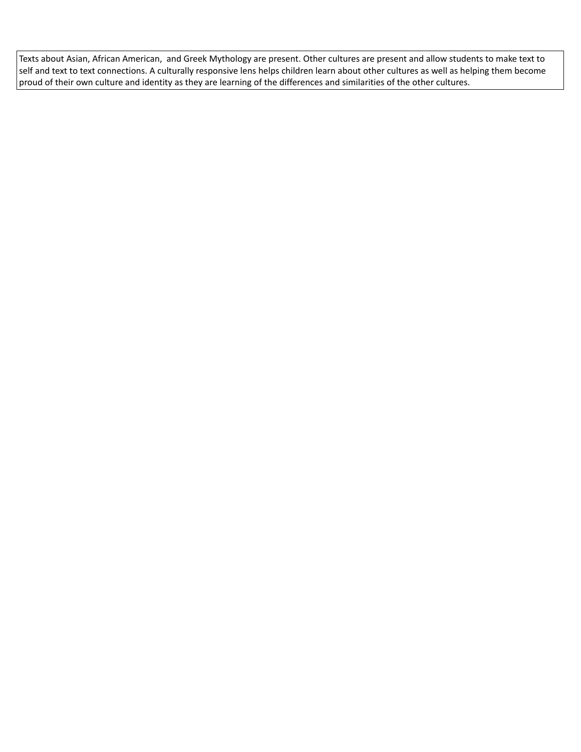Texts about Asian, African American, and Greek Mythology are present. Other cultures are present and allow students to make text to self and text to text connections. A culturally responsive lens helps children learn about other cultures as well as helping them become proud of their own culture and identity as they are learning of the differences and similarities of the other cultures.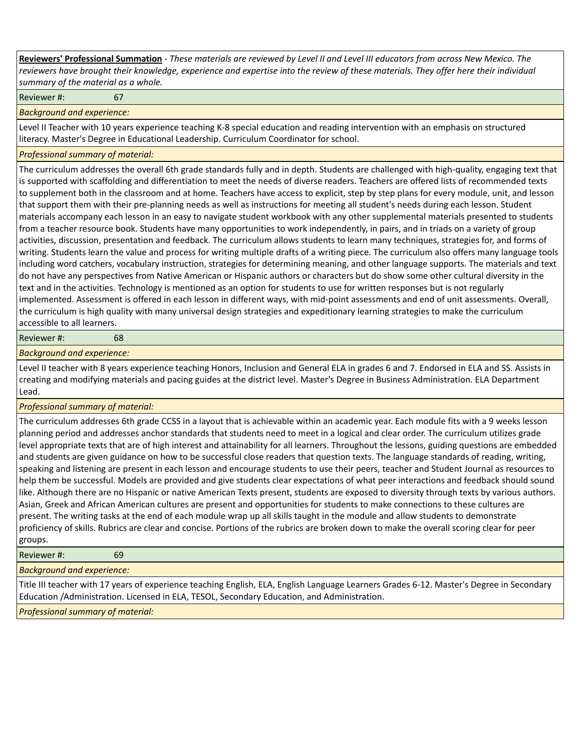**Reviewers' Professional Summation** *- These materials are reviewed by Level II and Level III educators from across New Mexico. The reviewers have brought their knowledge, experience and expertise into the review of these materials. They offer here their individual summary of the material as a whole.*

Reviewer #: 67

*Background and experience:*

Level II Teacher with 10 years experience teaching K-8 special education and reading intervention with an emphasis on structured literacy. Master's Degree in Educational Leadership. Curriculum Coordinator for school.

## *Professional summary of material:*

The curriculum addresses the overall 6th grade standards fully and in depth. Students are challenged with high-quality, engaging text that is supported with scaffolding and differentiation to meet the needs of diverse readers. Teachers are offered lists of recommended texts to supplement both in the classroom and at home. Teachers have access to explicit, step by step plans for every module, unit, and lesson that support them with their pre-planning needs as well as instructions for meeting all student's needs during each lesson. Student materials accompany each lesson in an easy to navigate student workbook with any other supplemental materials presented to students from a teacher resource book. Students have many opportunities to work independently, in pairs, and in triads on a variety of group activities, discussion, presentation and feedback. The curriculum allows students to learn many techniques, strategies for, and forms of writing. Students learn the value and process for writing multiple drafts of a writing piece. The curriculum also offers many language tools including word catchers, vocabulary instruction, strategies for determining meaning, and other language supports. The materials and text do not have any perspectives from Native American or Hispanic authors or characters but do show some other cultural diversity in the text and in the activities. Technology is mentioned as an option for students to use for written responses but is not regularly implemented. Assessment is offered in each lesson in different ways, with mid-point assessments and end of unit assessments. Overall, the curriculum is high quality with many universal design strategies and expeditionary learning strategies to make the curriculum accessible to all learners.

#### Reviewer #: 68

## *Background and experience:*

Level II teacher with 8 years experience teaching Honors, Inclusion and General ELA in grades 6 and 7. Endorsed in ELA and SS. Assists in creating and modifying materials and pacing guides at the district level. Master's Degree in Business Administration. ELA Department Lead.

# *Professional summary of material:*

The curriculum addresses 6th grade CCSS in a layout that is achievable within an academic year. Each module fits with a 9 weeks lesson planning period and addresses anchor standards that students need to meet in a logical and clear order. The curriculum utilizes grade level appropriate texts that are of high interest and attainability for all learners. Throughout the lessons, guiding questions are embedded and students are given guidance on how to be successful close readers that question texts. The language standards of reading, writing, speaking and listening are present in each lesson and encourage students to use their peers, teacher and Student Journal as resources to help them be successful. Models are provided and give students clear expectations of what peer interactions and feedback should sound like. Although there are no Hispanic or native American Texts present, students are exposed to diversity through texts by various authors. Asian, Greek and African American cultures are present and opportunities for students to make connections to these cultures are present. The writing tasks at the end of each module wrap up all skills taught in the module and allow students to demonstrate proficiency of skills. Rubrics are clear and concise. Portions of the rubrics are broken down to make the overall scoring clear for peer groups.

Reviewer #: 69

*Background and experience:*

Title III teacher with 17 years of experience teaching English, ELA, English Language Learners Grades 6-12. Master's Degree in Secondary Education /Administration. Licensed in ELA, TESOL, Secondary Education, and Administration.

*Professional summary of material:*